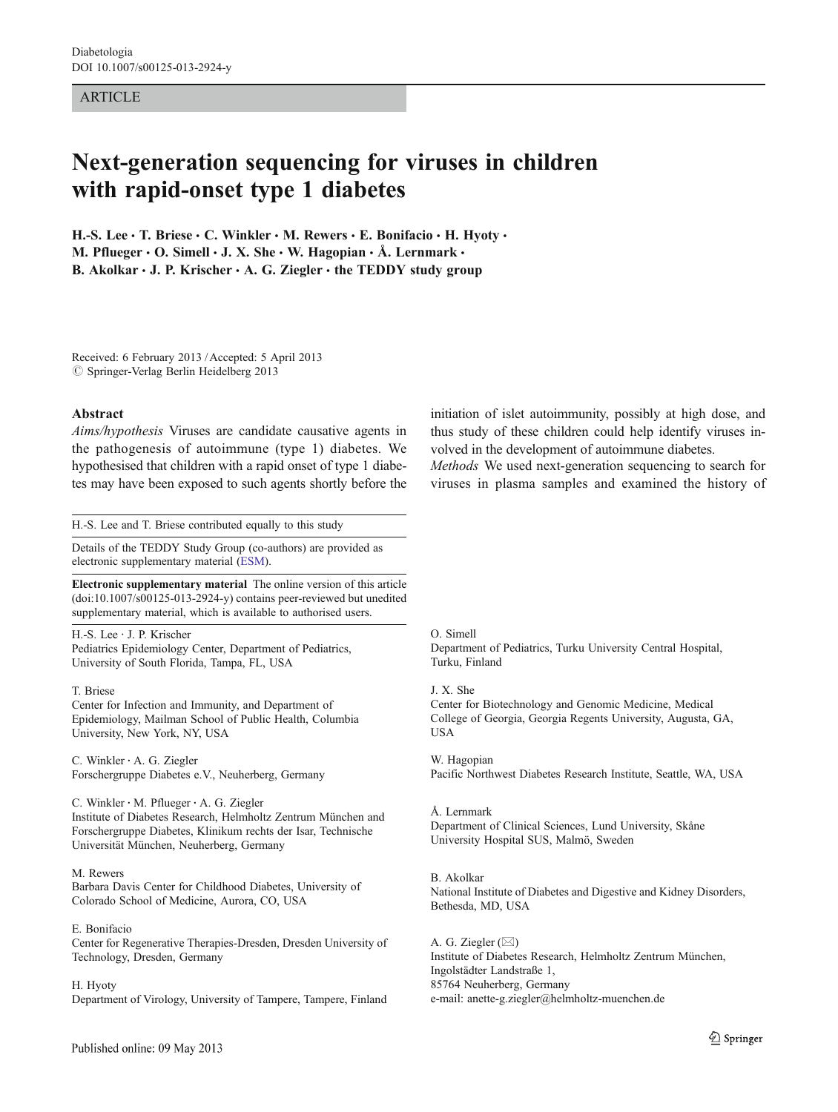ARTICLE

# Next-generation sequencing for viruses in children with rapid-onset type 1 diabetes

H.-S. Lee · T. Briese · C. Winkler · M. Rewers · E. Bonifacio · H. Hyoty · M. Pflueger  $\cdot$  O. Simell  $\cdot$  J. X. She  $\cdot$  W. Hagopian  $\cdot$  Å. Lernmark  $\cdot$ B. Akolkar  $\cdot$  J. P. Krischer  $\cdot$  A. G. Ziegler  $\cdot$  the TEDDY study group

Received: 6 February 2013 /Accepted: 5 April 2013  $\oslash$  Springer-Verlag Berlin Heidelberg 2013

### Abstract

Aims/hypothesis Viruses are candidate causative agents in the pathogenesis of autoimmune (type 1) diabetes. We hypothesised that children with a rapid onset of type 1 diabetes may have been exposed to such agents shortly before the

H.-S. Lee and T. Briese contributed equally to this study

Details of the TEDDY Study Group (co-authors) are provided as electronic supplementary material (ESM).

Electronic supplementary material The online version of this article (doi:[10.1007/s00125-013-2924-y](http://dx.doi.org/10.1007/s00125-013-2924-y)) contains peer-reviewed but unedited supplementary material, which is available to authorised users.

# H.-S. Lee · J. P. Krischer Pediatrics Epidemiology Center, Department of Pediatrics, University of South Florida, Tampa, FL, USA

# T. Briese

Center for Infection and Immunity, and Department of Epidemiology, Mailman School of Public Health, Columbia University, New York, NY, USA

C. Winkler : A. G. Ziegler Forschergruppe Diabetes e.V., Neuherberg, Germany

C. Winkler : M. Pflueger : A. G. Ziegler Institute of Diabetes Research, Helmholtz Zentrum München and Forschergruppe Diabetes, Klinikum rechts der Isar, Technische Universität München, Neuherberg, Germany

M. Rewers

Barbara Davis Center for Childhood Diabetes, University of Colorado School of Medicine, Aurora, CO, USA

E. Bonifacio

Center for Regenerative Therapies-Dresden, Dresden University of Technology, Dresden, Germany

H. Hyoty

Department of Virology, University of Tampere, Tampere, Finland

initiation of islet autoimmunity, possibly at high dose, and thus study of these children could help identify viruses involved in the development of autoimmune diabetes.

Methods We used next-generation sequencing to search for viruses in plasma samples and examined the history of

#### O. Simell

Department of Pediatrics, Turku University Central Hospital, Turku, Finland

J. X. She Center for Biotechnology and Genomic Medicine, Medical College of Georgia, Georgia Regents University, Augusta, GA, USA

W. Hagopian Pacific Northwest Diabetes Research Institute, Seattle, WA, USA

#### Å. Lernmark

Department of Clinical Sciences, Lund University, Skåne University Hospital SUS, Malmö, Sweden

B. Akolkar National Institute of Diabetes and Digestive and Kidney Disorders, Bethesda, MD, USA

A. G. Ziegler  $(\boxtimes)$ Institute of Diabetes Research, Helmholtz Zentrum München, Ingolstädter Landstraße 1, 85764 Neuherberg, Germany e-mail: anette-g.ziegler@helmholtz-muenchen.de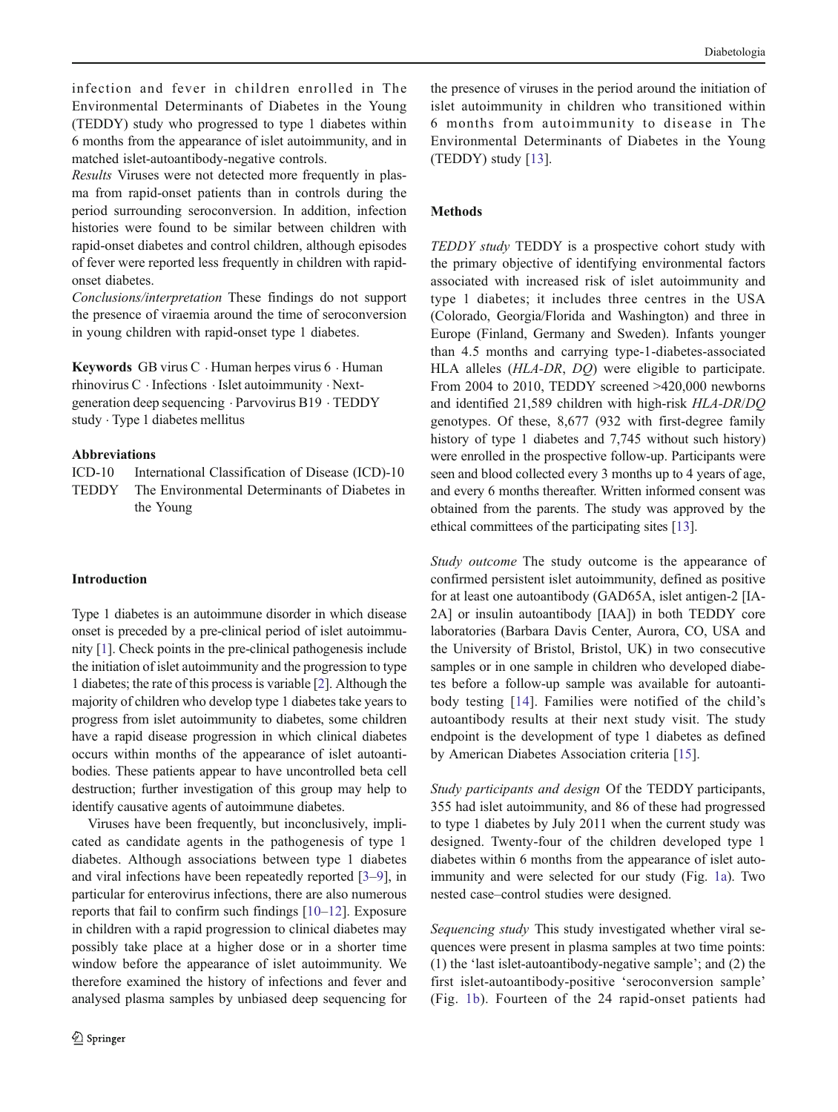infection and fever in children enrolled in The Environmental Determinants of Diabetes in the Young (TEDDY) study who progressed to type 1 diabetes within 6 months from the appearance of islet autoimmunity, and in matched islet-autoantibody-negative controls.

Results Viruses were not detected more frequently in plasma from rapid-onset patients than in controls during the period surrounding seroconversion. In addition, infection histories were found to be similar between children with rapid-onset diabetes and control children, although episodes of fever were reported less frequently in children with rapidonset diabetes.

Conclusions/interpretation These findings do not support the presence of viraemia around the time of seroconversion in young children with rapid-onset type 1 diabetes.

Keywords GB virus C . Human herpes virus 6 . Human rhinovirus C . Infections . Islet autoimmunity . Nextgeneration deep sequencing . Parvovirus B19 . TEDDY study . Type 1 diabetes mellitus

# Abbreviations

ICD-10 International Classification of Disease (ICD)-10 TEDDY The Environmental Determinants of Diabetes in the Young

### Introduction

Type 1 diabetes is an autoimmune disorder in which disease onset is preceded by a pre-clinical period of islet autoimmunity [[1\]](#page-5-0). Check points in the pre-clinical pathogenesis include the initiation of islet autoimmunity and the progression to type 1 diabetes; the rate of this process is variable [\[2\]](#page-5-0). Although the majority of children who develop type 1 diabetes take years to progress from islet autoimmunity to diabetes, some children have a rapid disease progression in which clinical diabetes occurs within months of the appearance of islet autoantibodies. These patients appear to have uncontrolled beta cell destruction; further investigation of this group may help to identify causative agents of autoimmune diabetes.

Viruses have been frequently, but inconclusively, implicated as candidate agents in the pathogenesis of type 1 diabetes. Although associations between type 1 diabetes and viral infections have been repeatedly reported [[3](#page-5-0)–[9\]](#page-5-0), in particular for enterovirus infections, there are also numerous reports that fail to confirm such findings [\[10](#page-5-0)–[12](#page-5-0)]. Exposure in children with a rapid progression to clinical diabetes may possibly take place at a higher dose or in a shorter time window before the appearance of islet autoimmunity. We therefore examined the history of infections and fever and analysed plasma samples by unbiased deep sequencing for

the presence of viruses in the period around the initiation of islet autoimmunity in children who transitioned within 6 months from autoimmunity to disease in The Environmental Determinants of Diabetes in the Young (TEDDY) study [[13\]](#page-5-0).

# Methods

TEDDY study TEDDY is a prospective cohort study with the primary objective of identifying environmental factors associated with increased risk of islet autoimmunity and type 1 diabetes; it includes three centres in the USA (Colorado, Georgia/Florida and Washington) and three in Europe (Finland, Germany and Sweden). Infants younger than 4.5 months and carrying type-1-diabetes-associated HLA alleles (HLA-DR, DQ) were eligible to participate. From 2004 to 2010, TEDDY screened >420,000 newborns and identified 21,589 children with high-risk HLA-DR/DQ genotypes. Of these, 8,677 (932 with first-degree family history of type 1 diabetes and 7,745 without such history) were enrolled in the prospective follow-up. Participants were seen and blood collected every 3 months up to 4 years of age, and every 6 months thereafter. Written informed consent was obtained from the parents. The study was approved by the ethical committees of the participating sites [[13](#page-5-0)].

Study outcome The study outcome is the appearance of confirmed persistent islet autoimmunity, defined as positive for at least one autoantibody (GAD65A, islet antigen-2 [IA-2A] or insulin autoantibody [IAA]) in both TEDDY core laboratories (Barbara Davis Center, Aurora, CO, USA and the University of Bristol, Bristol, UK) in two consecutive samples or in one sample in children who developed diabetes before a follow-up sample was available for autoantibody testing [\[14\]](#page-5-0). Families were notified of the child's autoantibody results at their next study visit. The study endpoint is the development of type 1 diabetes as defined by American Diabetes Association criteria [\[15](#page-5-0)].

Study participants and design Of the TEDDY participants, 355 had islet autoimmunity, and 86 of these had progressed to type 1 diabetes by July 2011 when the current study was designed. Twenty-four of the children developed type 1 diabetes within 6 months from the appearance of islet autoimmunity and were selected for our study (Fig. [1a\)](#page-2-0). Two nested case–control studies were designed.

Sequencing study This study investigated whether viral sequences were present in plasma samples at two time points: (1) the 'last islet-autoantibody-negative sample'; and (2) the first islet-autoantibody-positive 'seroconversion sample' (Fig. [1b](#page-2-0)). Fourteen of the 24 rapid-onset patients had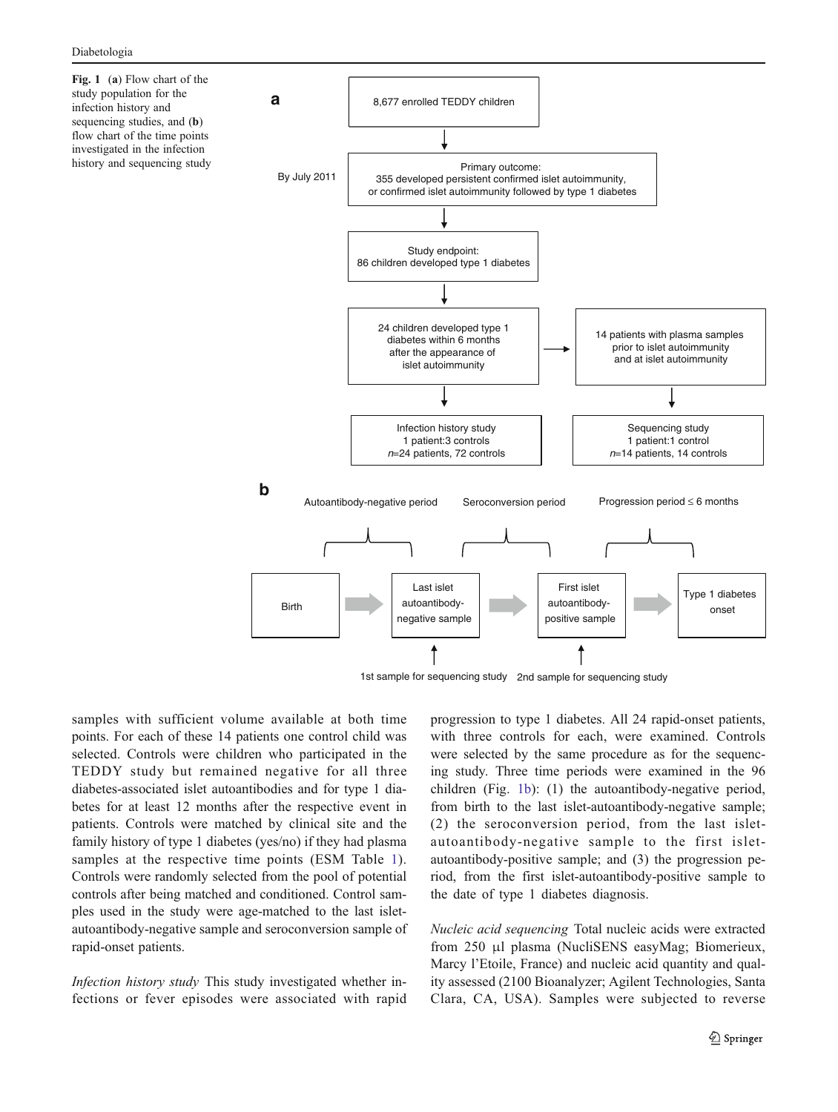<span id="page-2-0"></span>

1st sample for sequencing study 2nd sample for sequencing study

samples with sufficient volume available at both time points. For each of these 14 patients one control child was selected. Controls were children who participated in the TEDDY study but remained negative for all three diabetes-associated islet autoantibodies and for type 1 diabetes for at least 12 months after the respective event in patients. Controls were matched by clinical site and the family history of type 1 diabetes (yes/no) if they had plasma samples at the respective time points (ESM Table 1). Controls were randomly selected from the pool of potential controls after being matched and conditioned. Control samples used in the study were age-matched to the last isletautoantibody-negative sample and seroconversion sample of rapid-onset patients.

Infection history study This study investigated whether infections or fever episodes were associated with rapid progression to type 1 diabetes. All 24 rapid-onset patients, with three controls for each, were examined. Controls were selected by the same procedure as for the sequencing study. Three time periods were examined in the 96 children (Fig. 1b): (1) the autoantibody-negative period, from birth to the last islet-autoantibody-negative sample; (2) the seroconversion period, from the last isletautoantibody-negative sample to the first isletautoantibody-positive sample; and (3) the progression period, from the first islet-autoantibody-positive sample to the date of type 1 diabetes diagnosis.

Nucleic acid sequencing Total nucleic acids were extracted from 250 μl plasma (NucliSENS easyMag; Biomerieux, Marcy l'Etoile, France) and nucleic acid quantity and quality assessed (2100 Bioanalyzer; Agilent Technologies, Santa Clara, CA, USA). Samples were subjected to reverse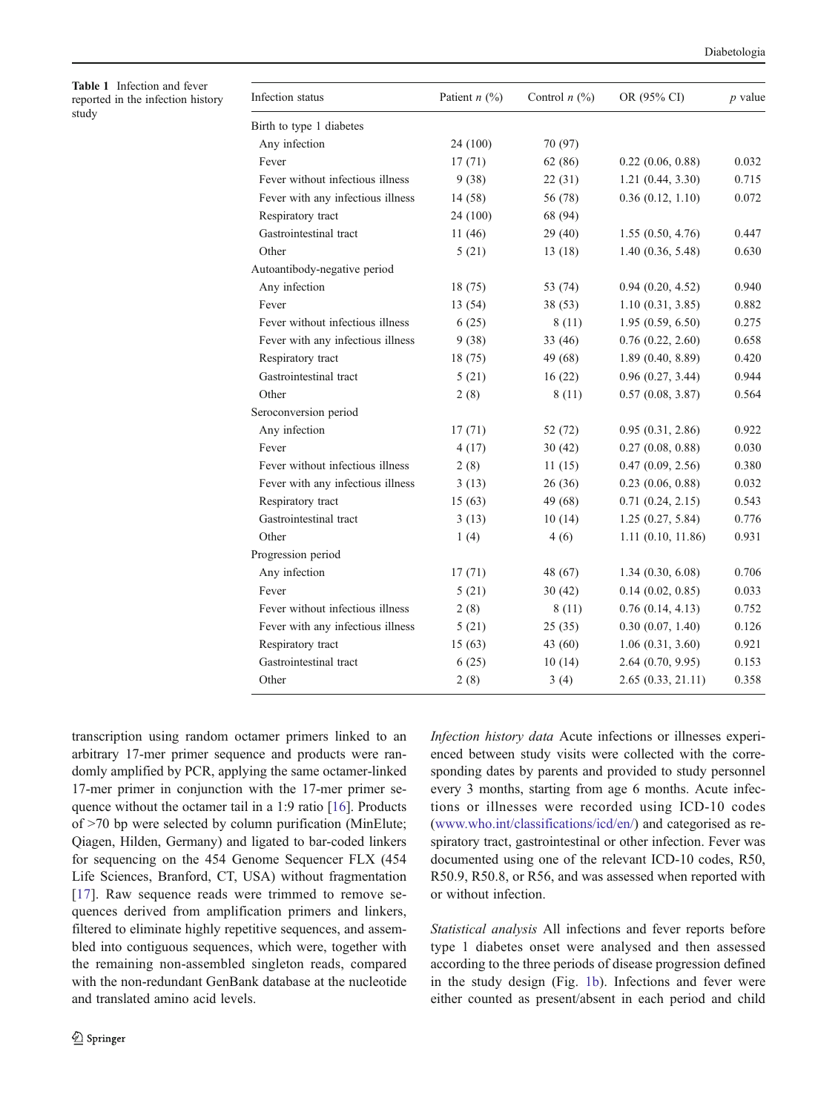<span id="page-3-0"></span>Table 1 Infection and fever reported in the infection history study

| Infection status                  | Patient $n$ (%) | Control $n$ (%) | OR (95% CI)           | $p$ value |
|-----------------------------------|-----------------|-----------------|-----------------------|-----------|
| Birth to type 1 diabetes          |                 |                 |                       |           |
| Any infection                     | 24 (100)        | 70 (97)         |                       |           |
| Fever                             | 17(71)          | 62 (86)         | $0.22$ $(0.06, 0.88)$ | 0.032     |
| Fever without infectious illness  | 9(38)           | 22(31)          | 1.21(0.44, 3.30)      | 0.715     |
| Fever with any infectious illness | 14 (58)         | 56 (78)         | 0.36(0.12, 1.10)      | 0.072     |
| Respiratory tract                 | 24 (100)        | 68 (94)         |                       |           |
| Gastrointestinal tract            | 11(46)          | 29 (40)         | 1.55(0.50, 4.76)      | 0.447     |
| Other                             | 5(21)           | 13(18)          | 1.40(0.36, 5.48)      | 0.630     |
| Autoantibody-negative period      |                 |                 |                       |           |
| Any infection                     | 18 (75)         | 53 (74)         | 0.94(0.20, 4.52)      | 0.940     |
| Fever                             | 13 (54)         | 38 (53)         | 1.10(0.31, 3.85)      | 0.882     |
| Fever without infectious illness  | 6(25)           | 8(11)           | 1.95(0.59, 6.50)      | 0.275     |
| Fever with any infectious illness | 9(38)           | 33 (46)         | $0.76$ $(0.22, 2.60)$ | 0.658     |
| Respiratory tract                 | 18 (75)         | 49 (68)         | 1.89(0.40, 8.89)      | 0.420     |
| Gastrointestinal tract            | 5(21)           | 16(22)          | 0.96(0.27, 3.44)      | 0.944     |
| Other                             | 2(8)            | 8(11)           | $0.57$ $(0.08, 3.87)$ | 0.564     |
| Seroconversion period             |                 |                 |                       |           |
| Any infection                     | 17(71)          | 52 (72)         | 0.95(0.31, 2.86)      | 0.922     |
| Fever                             | 4(17)           | 30(42)          | 0.27(0.08, 0.88)      | 0.030     |
| Fever without infectious illness  | 2(8)            | 11(15)          | 0.47(0.09, 2.56)      | 0.380     |
| Fever with any infectious illness | 3(13)           | 26 (36)         | $0.23$ $(0.06, 0.88)$ | 0.032     |
| Respiratory tract                 | 15(63)          | 49 (68)         | 0.71(0.24, 2.15)      | 0.543     |
| Gastrointestinal tract            | 3(13)           | 10(14)          | 1.25(0.27, 5.84)      | 0.776     |
| Other                             | 1(4)            | 4(6)            | 1.11(0.10, 11.86)     | 0.931     |
| Progression period                |                 |                 |                       |           |
| Any infection                     | 17(71)          | 48 (67)         | 1.34(0.30, 6.08)      | 0.706     |
| Fever                             | 5(21)           | 30(42)          | 0.14(0.02, 0.85)      | 0.033     |
| Fever without infectious illness  | 2(8)            | 8(11)           | 0.76(0.14, 4.13)      | 0.752     |
| Fever with any infectious illness | 5(21)           | 25(35)          | 0.30(0.07, 1.40)      | 0.126     |
| Respiratory tract                 | 15(63)          | 43 (60)         | 1.06(0.31, 3.60)      | 0.921     |
| Gastrointestinal tract            | 6(25)           | 10(14)          | 2.64(0.70, 9.95)      | 0.153     |
| Other                             | 2(8)            | 3(4)            | 2.65(0.33, 21.11)     | 0.358     |
|                                   |                 |                 |                       |           |

transcription using random octamer primers linked to an arbitrary 17-mer primer sequence and products were randomly amplified by PCR, applying the same octamer-linked 17-mer primer in conjunction with the 17-mer primer sequence without the octamer tail in a 1:9 ratio [\[16](#page-6-0)]. Products of >70 bp were selected by column purification (MinElute; Qiagen, Hilden, Germany) and ligated to bar-coded linkers for sequencing on the 454 Genome Sequencer FLX (454 Life Sciences, Branford, CT, USA) without fragmentation [\[17\]](#page-6-0). Raw sequence reads were trimmed to remove sequences derived from amplification primers and linkers, filtered to eliminate highly repetitive sequences, and assembled into contiguous sequences, which were, together with the remaining non-assembled singleton reads, compared with the non-redundant GenBank database at the nucleotide and translated amino acid levels.

Infection history data Acute infections or illnesses experienced between study visits were collected with the corresponding dates by parents and provided to study personnel every 3 months, starting from age 6 months. Acute infections or illnesses were recorded using ICD-10 codes [\(www.who.int/classifications/icd/en/\)](http://www.who.int/classifications/icd/en/) and categorised as respiratory tract, gastrointestinal or other infection. Fever was documented using one of the relevant ICD-10 codes, R50, R50.9, R50.8, or R56, and was assessed when reported with or without infection.

Statistical analysis All infections and fever reports before type 1 diabetes onset were analysed and then assessed according to the three periods of disease progression defined in the study design (Fig. [1b](#page-2-0)). Infections and fever were either counted as present/absent in each period and child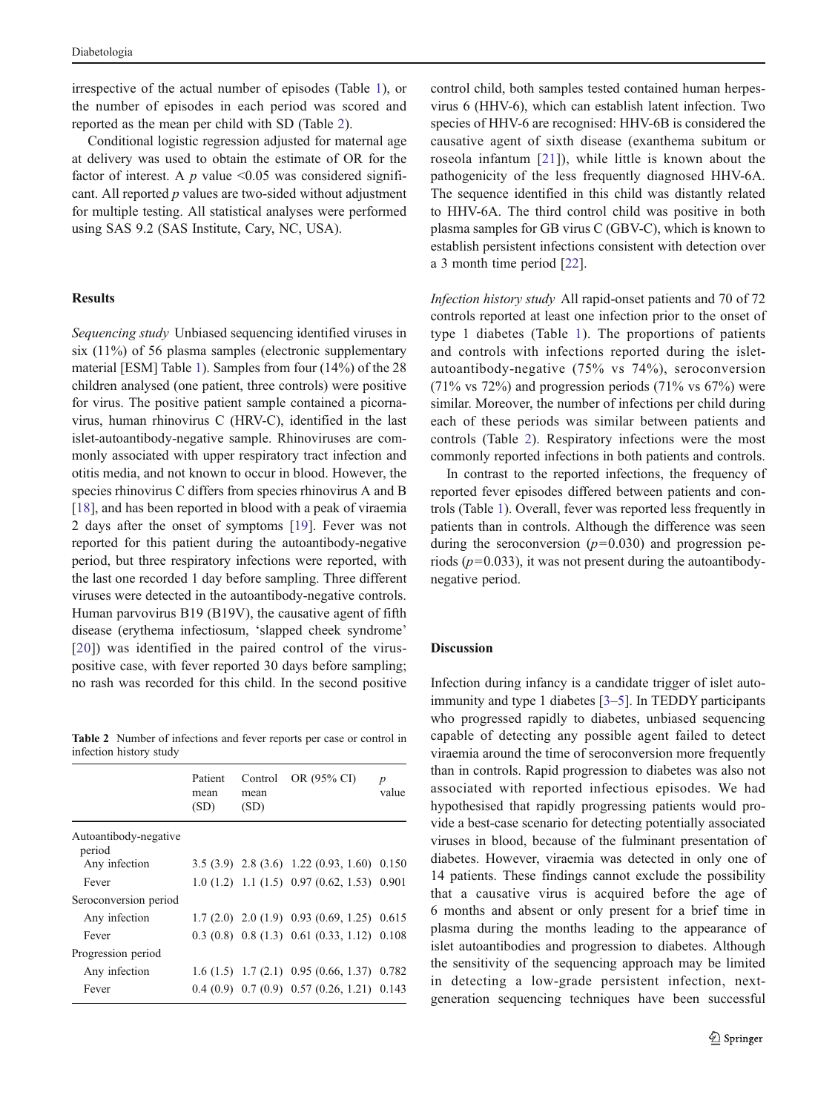irrespective of the actual number of episodes (Table [1\)](#page-3-0), or the number of episodes in each period was scored and reported as the mean per child with SD (Table 2).

Conditional logistic regression adjusted for maternal age at delivery was used to obtain the estimate of OR for the factor of interest. A  $p$  value <0.05 was considered significant. All reported  $p$  values are two-sided without adjustment for multiple testing. All statistical analyses were performed using SAS 9.2 (SAS Institute, Cary, NC, USA).

# Results

Sequencing study Unbiased sequencing identified viruses in six (11%) of 56 plasma samples (electronic supplementary material [ESM] Table 1). Samples from four (14%) of the 28 children analysed (one patient, three controls) were positive for virus. The positive patient sample contained a picornavirus, human rhinovirus C (HRV-C), identified in the last islet-autoantibody-negative sample. Rhinoviruses are commonly associated with upper respiratory tract infection and otitis media, and not known to occur in blood. However, the species rhinovirus C differs from species rhinovirus A and B [\[18](#page-6-0)], and has been reported in blood with a peak of viraemia 2 days after the onset of symptoms [\[19](#page-6-0)]. Fever was not reported for this patient during the autoantibody-negative period, but three respiratory infections were reported, with the last one recorded 1 day before sampling. Three different viruses were detected in the autoantibody-negative controls. Human parvovirus B19 (B19V), the causative agent of fifth disease (erythema infectiosum, 'slapped cheek syndrome' [\[20\]](#page-6-0)) was identified in the paired control of the viruspositive case, with fever reported 30 days before sampling; no rash was recorded for this child. In the second positive

Table 2 Number of infections and fever reports per case or control in infection history study

|                                 | Patient<br>mean<br>(SD) | Control<br>mean<br>(SD) | OR (95% CI)                                      | $\boldsymbol{p}$<br>value |
|---------------------------------|-------------------------|-------------------------|--------------------------------------------------|---------------------------|
| Autoantibody-negative<br>period |                         |                         |                                                  |                           |
| Any infection                   |                         |                         | $3.5(3.9)$ $2.8(3.6)$ $1.22(0.93, 1.60)$ $0.150$ |                           |
| Fever                           |                         |                         | $1.0(1.2)$ $1.1(1.5)$ $0.97(0.62, 1.53)$ $0.901$ |                           |
| Seroconversion period           |                         |                         |                                                  |                           |
| Any infection                   |                         |                         | $1.7(2.0)$ $2.0(1.9)$ $0.93(0.69, 1.25)$ $0.615$ |                           |
| Fever                           |                         |                         | $0.3(0.8)$ $0.8(1.3)$ $0.61(0.33, 1.12)$ $0.108$ |                           |
| Progression period              |                         |                         |                                                  |                           |
| Any infection                   |                         |                         | $1.6(1.5)$ $1.7(2.1)$ $0.95(0.66, 1.37)$ $0.782$ |                           |
| Fever                           |                         |                         | $0.4(0.9)$ $0.7(0.9)$ $0.57(0.26, 1.21)$ $0.143$ |                           |

control child, both samples tested contained human herpesvirus 6 (HHV-6), which can establish latent infection. Two species of HHV-6 are recognised: HHV-6B is considered the causative agent of sixth disease (exanthema subitum or roseola infantum [\[21\]](#page-6-0)), while little is known about the pathogenicity of the less frequently diagnosed HHV-6A. The sequence identified in this child was distantly related to HHV-6A. The third control child was positive in both plasma samples for GB virus C (GBV-C), which is known to establish persistent infections consistent with detection over a 3 month time period [[22\]](#page-6-0).

Infection history study All rapid-onset patients and 70 of 72 controls reported at least one infection prior to the onset of type 1 diabetes (Table [1](#page-3-0)). The proportions of patients and controls with infections reported during the isletautoantibody-negative (75% vs 74%), seroconversion  $(71\% \text{ vs } 72\%)$  and progression periods  $(71\% \text{ vs } 67\%)$  were similar. Moreover, the number of infections per child during each of these periods was similar between patients and controls (Table 2). Respiratory infections were the most commonly reported infections in both patients and controls.

In contrast to the reported infections, the frequency of reported fever episodes differed between patients and controls (Table [1](#page-3-0)). Overall, fever was reported less frequently in patients than in controls. Although the difference was seen during the seroconversion  $(p=0.030)$  and progression periods ( $p=0.033$ ), it was not present during the autoantibodynegative period.

### **Discussion**

Infection during infancy is a candidate trigger of islet autoimmunity and type 1 diabetes [\[3](#page-5-0)–[5](#page-5-0)]. In TEDDY participants who progressed rapidly to diabetes, unbiased sequencing capable of detecting any possible agent failed to detect viraemia around the time of seroconversion more frequently than in controls. Rapid progression to diabetes was also not associated with reported infectious episodes. We had hypothesised that rapidly progressing patients would provide a best-case scenario for detecting potentially associated viruses in blood, because of the fulminant presentation of diabetes. However, viraemia was detected in only one of 14 patients. These findings cannot exclude the possibility that a causative virus is acquired before the age of 6 months and absent or only present for a brief time in plasma during the months leading to the appearance of islet autoantibodies and progression to diabetes. Although the sensitivity of the sequencing approach may be limited in detecting a low-grade persistent infection, nextgeneration sequencing techniques have been successful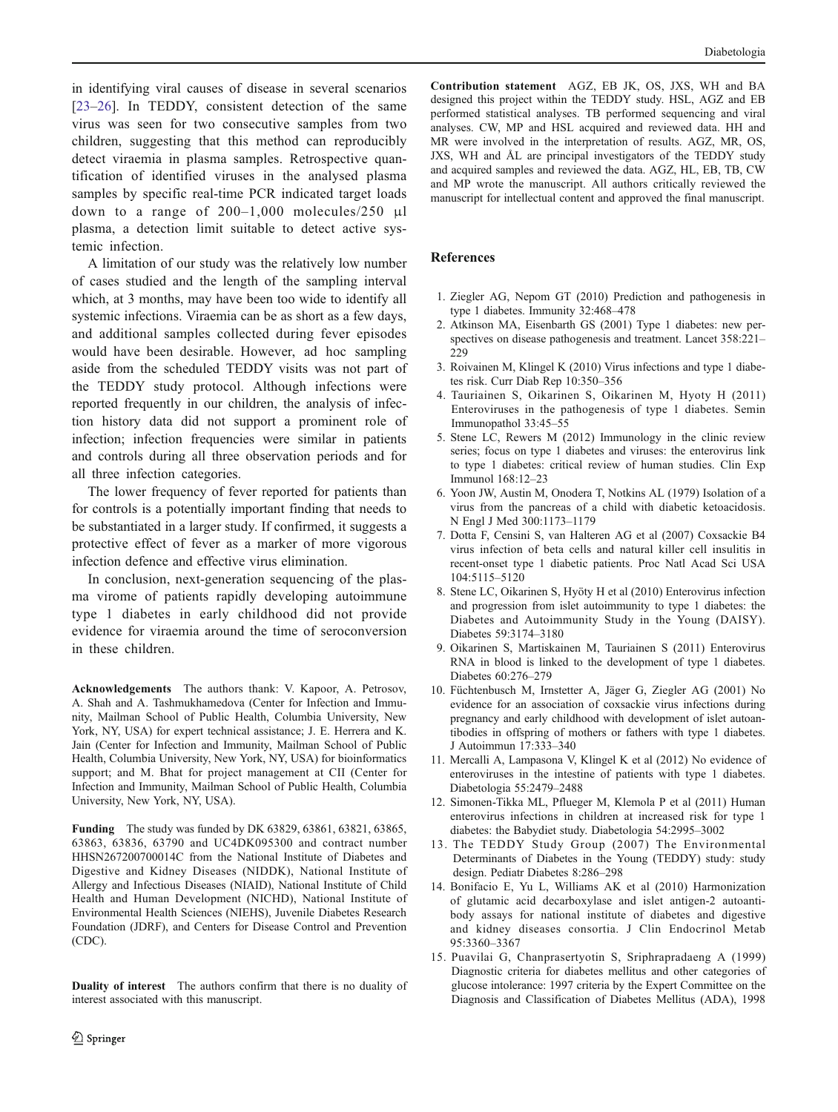<span id="page-5-0"></span>in identifying viral causes of disease in several scenarios [\[23](#page-6-0)–[26](#page-6-0)]. In TEDDY, consistent detection of the same virus was seen for two consecutive samples from two children, suggesting that this method can reproducibly detect viraemia in plasma samples. Retrospective quantification of identified viruses in the analysed plasma samples by specific real-time PCR indicated target loads down to a range of 200–1,000 molecules/250 μl plasma, a detection limit suitable to detect active systemic infection.

A limitation of our study was the relatively low number of cases studied and the length of the sampling interval which, at 3 months, may have been too wide to identify all systemic infections. Viraemia can be as short as a few days, and additional samples collected during fever episodes would have been desirable. However, ad hoc sampling aside from the scheduled TEDDY visits was not part of the TEDDY study protocol. Although infections were reported frequently in our children, the analysis of infection history data did not support a prominent role of infection; infection frequencies were similar in patients and controls during all three observation periods and for all three infection categories.

The lower frequency of fever reported for patients than for controls is a potentially important finding that needs to be substantiated in a larger study. If confirmed, it suggests a protective effect of fever as a marker of more vigorous infection defence and effective virus elimination.

In conclusion, next-generation sequencing of the plasma virome of patients rapidly developing autoimmune type 1 diabetes in early childhood did not provide evidence for viraemia around the time of seroconversion in these children.

Acknowledgements The authors thank: V. Kapoor, A. Petrosov, A. Shah and A. Tashmukhamedova (Center for Infection and Immunity, Mailman School of Public Health, Columbia University, New York, NY, USA) for expert technical assistance; J. E. Herrera and K. Jain (Center for Infection and Immunity, Mailman School of Public Health, Columbia University, New York, NY, USA) for bioinformatics support; and M. Bhat for project management at CII (Center for Infection and Immunity, Mailman School of Public Health, Columbia University, New York, NY, USA).

Funding The study was funded by DK 63829, 63861, 63821, 63865, 63863, 63836, 63790 and UC4DK095300 and contract number HHSN267200700014C from the National Institute of Diabetes and Digestive and Kidney Diseases (NIDDK), National Institute of Allergy and Infectious Diseases (NIAID), National Institute of Child Health and Human Development (NICHD), National Institute of Environmental Health Sciences (NIEHS), Juvenile Diabetes Research Foundation (JDRF), and Centers for Disease Control and Prevention (CDC).

Duality of interest The authors confirm that there is no duality of interest associated with this manuscript.

Contribution statement AGZ, EB JK, OS, JXS, WH and BA designed this project within the TEDDY study. HSL, AGZ and EB performed statistical analyses. TB performed sequencing and viral analyses. CW, MP and HSL acquired and reviewed data. HH and MR were involved in the interpretation of results. AGZ, MR, OS, JXS, WH and ÅL are principal investigators of the TEDDY study and acquired samples and reviewed the data. AGZ, HL, EB, TB, CW and MP wrote the manuscript. All authors critically reviewed the manuscript for intellectual content and approved the final manuscript.

### References

- 1. Ziegler AG, Nepom GT (2010) Prediction and pathogenesis in type 1 diabetes. Immunity 32:468–478
- 2. Atkinson MA, Eisenbarth GS (2001) Type 1 diabetes: new perspectives on disease pathogenesis and treatment. Lancet 358:221– 229
- 3. Roivainen M, Klingel K (2010) Virus infections and type 1 diabetes risk. Curr Diab Rep 10:350–356
- 4. Tauriainen S, Oikarinen S, Oikarinen M, Hyoty H (2011) Enteroviruses in the pathogenesis of type 1 diabetes. Semin Immunopathol 33:45–55
- 5. Stene LC, Rewers M (2012) Immunology in the clinic review series; focus on type 1 diabetes and viruses: the enterovirus link to type 1 diabetes: critical review of human studies. Clin Exp Immunol 168:12–23
- 6. Yoon JW, Austin M, Onodera T, Notkins AL (1979) Isolation of a virus from the pancreas of a child with diabetic ketoacidosis. N Engl J Med 300:1173–1179
- 7. Dotta F, Censini S, van Halteren AG et al (2007) Coxsackie B4 virus infection of beta cells and natural killer cell insulitis in recent-onset type 1 diabetic patients. Proc Natl Acad Sci USA 104:5115–5120
- 8. Stene LC, Oikarinen S, Hyöty H et al (2010) Enterovirus infection and progression from islet autoimmunity to type 1 diabetes: the Diabetes and Autoimmunity Study in the Young (DAISY). Diabetes 59:3174–3180
- 9. Oikarinen S, Martiskainen M, Tauriainen S (2011) Enterovirus RNA in blood is linked to the development of type 1 diabetes. Diabetes 60:276–279
- 10. Füchtenbusch M, Irnstetter A, Jäger G, Ziegler AG (2001) No evidence for an association of coxsackie virus infections during pregnancy and early childhood with development of islet autoantibodies in offspring of mothers or fathers with type 1 diabetes. J Autoimmun 17:333–340
- 11. Mercalli A, Lampasona V, Klingel K et al (2012) No evidence of enteroviruses in the intestine of patients with type 1 diabetes. Diabetologia 55:2479–2488
- 12. Simonen-Tikka ML, Pflueger M, Klemola P et al (2011) Human enterovirus infections in children at increased risk for type 1 diabetes: the Babydiet study. Diabetologia 54:2995–3002
- 13. The TEDDY Study Group (2007) The Environmental Determinants of Diabetes in the Young (TEDDY) study: study design. Pediatr Diabetes 8:286–298
- 14. Bonifacio E, Yu L, Williams AK et al (2010) Harmonization of glutamic acid decarboxylase and islet antigen-2 autoantibody assays for national institute of diabetes and digestive and kidney diseases consortia. J Clin Endocrinol Metab 95:3360–3367
- 15. Puavilai G, Chanprasertyotin S, Sriphrapradaeng A (1999) Diagnostic criteria for diabetes mellitus and other categories of glucose intolerance: 1997 criteria by the Expert Committee on the Diagnosis and Classification of Diabetes Mellitus (ADA), 1998